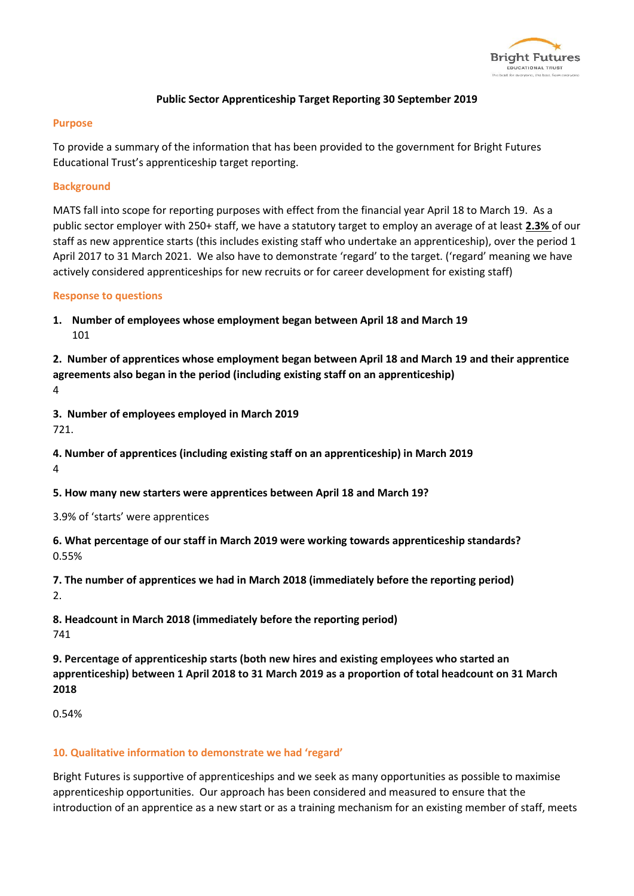

# **Public Sector Apprenticeship Target Reporting 30 September 2019**

### **Purpose**

To provide a summary of the information that has been provided to the government for Bright Futures Educational Trust's apprenticeship target reporting.

# **Background**

MATS fall into scope for reporting purposes with effect from the financial year April 18 to March 19. As a public sector employer with 250+ staff, we have a statutory target to employ an average of at least **2.3%** of our staff as new apprentice starts (this includes existing staff who undertake an apprenticeship), over the period 1 April 2017 to 31 March 2021. We also have to demonstrate 'regard' to the target. ('regard' meaning we have actively considered apprenticeships for new recruits or for career development for existing staff)

### **Response to questions**

**1. Number of employees whose employment began between April 18 and March 19** 101

**2. Number of apprentices whose employment began between April 18 and March 19 and their apprentice agreements also began in the period (including existing staff on an apprenticeship)** 4

**3. Number of employees employed in March 2019** 721.

**4. Number of apprentices (including existing staff on an apprenticeship) in March 2019** 4

**5. How many new starters were apprentices between April 18 and March 19?**

3.9% of 'starts' were apprentices

**6. What percentage of our staff in March 2019 were working towards apprenticeship standards?** 0.55%

**7. The number of apprentices we had in March 2018 (immediately before the reporting period)** 2.

**8. Headcount in March 2018 (immediately before the reporting period)** 741

**9. Percentage of apprenticeship starts (both new hires and existing employees who started an apprenticeship) between 1 April 2018 to 31 March 2019 as a proportion of total headcount on 31 March 2018**

0.54%

# **10. Qualitative information to demonstrate we had 'regard'**

Bright Futures is supportive of apprenticeships and we seek as many opportunities as possible to maximise apprenticeship opportunities. Our approach has been considered and measured to ensure that the introduction of an apprentice as a new start or as a training mechanism for an existing member of staff, meets